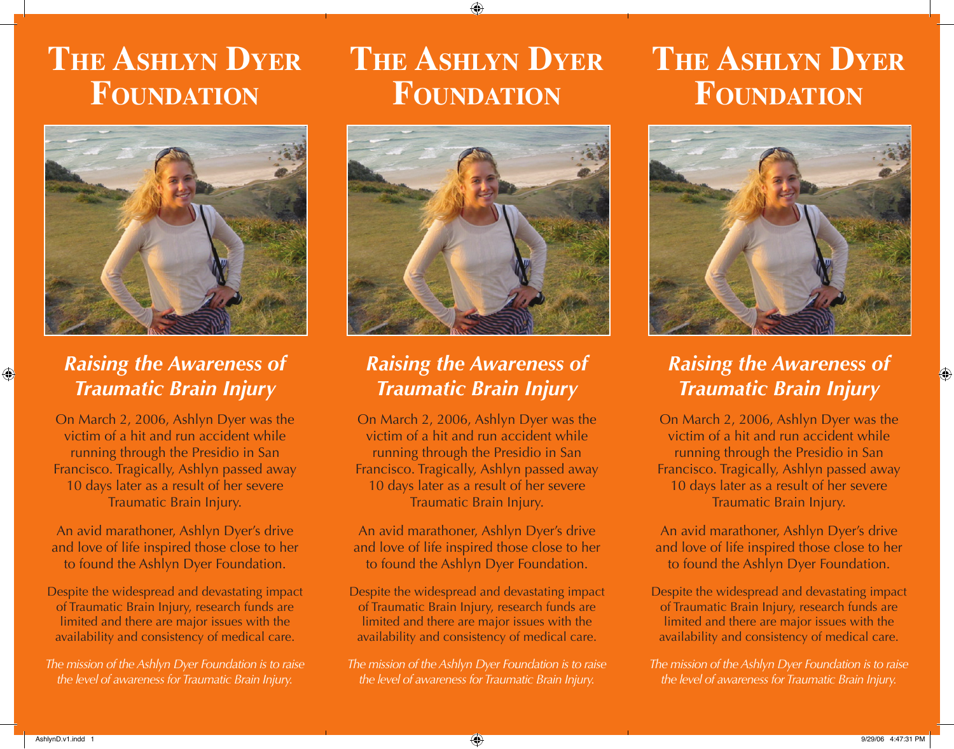# **THE ASHLYN DYER FOUNDATION**



## *Raising the Awareness of Traumatic Brain Injury*

On March 2, 2006, Ashlyn Dyer was the victim of a hit and run accident while running through the Presidio in San Francisco. Tragically, Ashlyn passed away 10 days later as a result of her severe Traumatic Brain Injury.

An avid marathoner, Ashlyn Dyer's drive and love of life inspired those close to her to found the Ashlyn Dyer Foundation.

Despite the widespread and devastating impact of Traumatic Brain Injury, research funds are limited and there are major issues with the availability and consistency of medical care.

*The mission of the Ashlyn Dyer Foundation is to raise the level of awareness for Traumatic Brain Injury.*

# **THE ASHLYN DYER FOUNDATION**



## *Raising the Awareness of Traumatic Brain Injury*

On March 2, 2006, Ashlyn Dyer was the victim of a hit and run accident while running through the Presidio in San Francisco. Tragically, Ashlyn passed away 10 days later as a result of her severe Traumatic Brain Injury.

An avid marathoner, Ashlyn Dyer's drive and love of life inspired those close to her to found the Ashlyn Dyer Foundation.

Despite the widespread and devastating impact of Traumatic Brain Injury, research funds are limited and there are major issues with the availability and consistency of medical care.

*The mission of the Ashlyn Dyer Foundation is to raise the level of awareness for Traumatic Brain Injury.*

# **THE ASHLYN DYER FOUNDATION**



## *Raising the Awareness of Traumatic Brain Injury*

On March 2, 2006, Ashlyn Dyer was the victim of a hit and run accident while running through the Presidio in San Francisco. Tragically, Ashlyn passed away 10 days later as a result of her severe Traumatic Brain Injury.

An avid marathoner, Ashlyn Dyer's drive and love of life inspired those close to her to found the Ashlyn Dyer Foundation.

Despite the widespread and devastating impact of Traumatic Brain Injury, research funds are limited and there are major issues with the availability and consistency of medical care.

*The mission of the Ashlyn Dyer Foundation is to raise the level of awareness for Traumatic Brain Injury.*

 $\bigoplus$